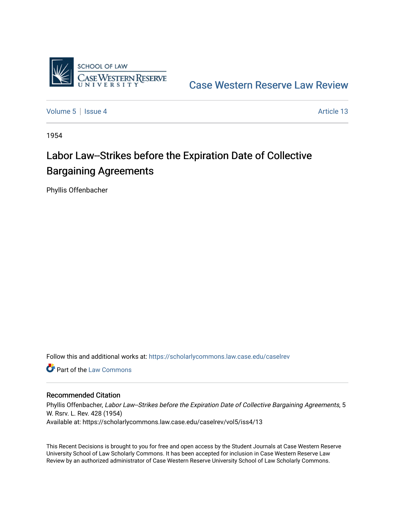

[Case Western Reserve Law Review](https://scholarlycommons.law.case.edu/caselrev) 

[Volume 5](https://scholarlycommons.law.case.edu/caselrev/vol5) | [Issue 4](https://scholarlycommons.law.case.edu/caselrev/vol5/iss4) Article 13

1954

# Labor Law--Strikes before the Expiration Date of Collective Bargaining Agreements

Phyllis Offenbacher

Follow this and additional works at: [https://scholarlycommons.law.case.edu/caselrev](https://scholarlycommons.law.case.edu/caselrev?utm_source=scholarlycommons.law.case.edu%2Fcaselrev%2Fvol5%2Fiss4%2F13&utm_medium=PDF&utm_campaign=PDFCoverPages)

**C** Part of the [Law Commons](http://network.bepress.com/hgg/discipline/578?utm_source=scholarlycommons.law.case.edu%2Fcaselrev%2Fvol5%2Fiss4%2F13&utm_medium=PDF&utm_campaign=PDFCoverPages)

## Recommended Citation

Phyllis Offenbacher, Labor Law--Strikes before the Expiration Date of Collective Bargaining Agreements, 5 W. Rsrv. L. Rev. 428 (1954) Available at: https://scholarlycommons.law.case.edu/caselrev/vol5/iss4/13

This Recent Decisions is brought to you for free and open access by the Student Journals at Case Western Reserve University School of Law Scholarly Commons. It has been accepted for inclusion in Case Western Reserve Law Review by an authorized administrator of Case Western Reserve University School of Law Scholarly Commons.